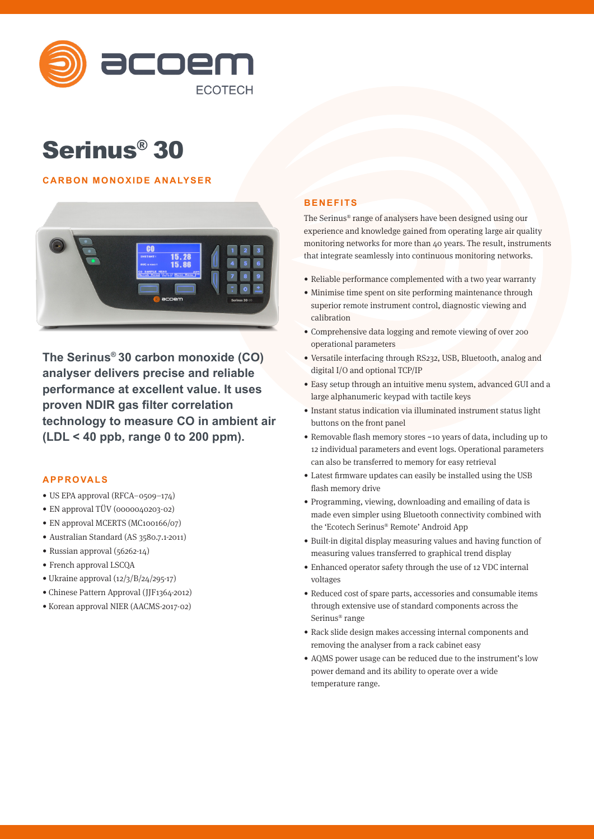

# Serinus® 30

## **CARBON MONOXIDE ANALYSER**



**The Serinus® 30 carbon monoxide (CO) analyser delivers precise and reliable performance at excellent value. It uses proven NDIR gas filter correlation technology to measure CO in ambient air (LDL < 40 ppb, range 0 to 200 ppm).**

### **APPROVALS**

- US EPA approval (RFCA–0509–174)
- EN approval TÜV (0000040203-02)
- EN approval MCERTS (MC100166/07)
- Australian Standard (AS 3580.7.1-2011)
- Russian approval (56262-14)
- French approval LSCQA
- Ukraine approval (12/3/B/24/295-17)
- Chinese Pattern Approval (JJF1364-2012)
- Korean approval NIER (AACMS-2017-02)

#### **BENEFITS**

The Serinus® range of analysers have been designed using our experience and knowledge gained from operating large air quality monitoring networks for more than 40 years. The result, instruments that integrate seamlessly into continuous monitoring networks.

- Reliable performance complemented with a two year warranty
- Minimise time spent on site performing maintenance through superior remote instrument control, diagnostic viewing and calibration
- Comprehensive data logging and remote viewing of over 200 operational parameters
- Versatile interfacing through RS232, USB, Bluetooth, analog and digital I/O and optional TCP/IP
- Easy setup through an intuitive menu system, advanced GUI and a large alphanumeric keypad with tactile keys
- Instant status indication via illuminated instrument status light buttons on the front panel
- Removable flash memory stores ~10 years of data, including up to 12 individual parameters and event logs. Operational parameters can also be transferred to memory for easy retrieval
- Latest firmware updates can easily be installed using the USB flash memory drive
- Programming, viewing, downloading and emailing of data is made even simpler using Bluetooth connectivity combined with the 'Ecotech Serinus® Remote' Android App
- Built-in digital display measuring values and having function of measuring values transferred to graphical trend display
- Enhanced operator safety through the use of 12 VDC internal voltages
- Reduced cost of spare parts, accessories and consumable items through extensive use of standard components across the Serinus® range
- Rack slide design makes accessing internal components and removing the analyser from a rack cabinet easy
- AQMS power usage can be reduced due to the instrument's low power demand and its ability to operate over a wide temperature range.